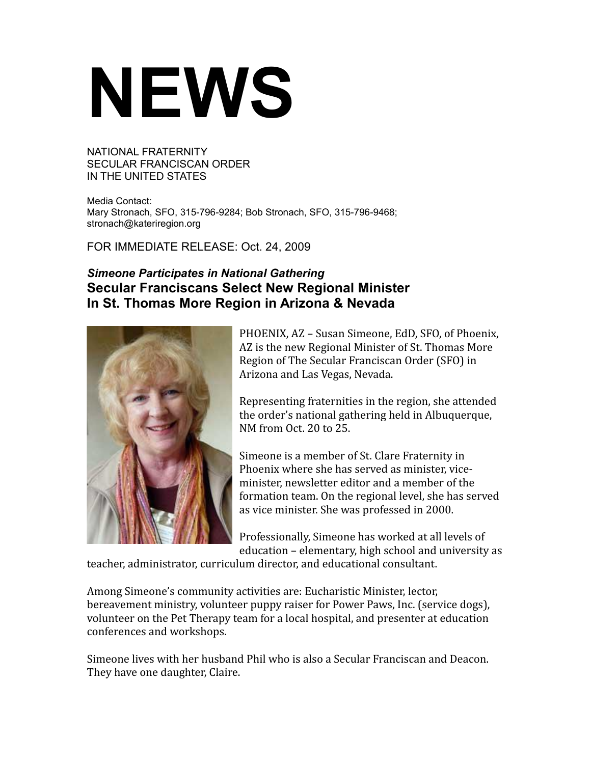## **NEWS**

NATIONAL FRATERNITY SECULAR FRANCISCAN ORDER IN THE UNITED STATES

Media Contact: Mary Stronach, SFO, 315-796-9284; Bob Stronach, SFO, 315-796-9468; stronach@kateriregion.org

FOR IMMEDIATE RELEASE: Oct. 24, 2009

## *Simeone Participates in National Gathering* **Secular Franciscans Select New Regional Minister In St. Thomas More Region in Arizona & Nevada**



PHOENIX, AZ – Susan Simeone, EdD, SFO, of Phoenix, AZ is the new Regional Minister of St. Thomas More Region of The Secular Franciscan Order (SFO) in Arizona and Las Vegas, Nevada.

Representing fraternities in the region, she attended the order's national gathering held in Albuquerque, NM from Oct. 20 to 25.

Simeone is a member of St. Clare Fraternity in Phoenix where she has served as minister, viceminister, newsletter editor and a member of the formation team. On the regional level, she has served as vice minister. She was professed in 2000.

Professionally, Simeone has worked at all levels of education – elementary, high school and university as

teacher, administrator, curriculum director, and educational consultant.

Among Simeone's community activities are: Eucharistic Minister, lector, bereavement ministry, volunteer puppy raiser for Power Paws, Inc. (service dogs), volunteer on the Pet Therapy team for a local hospital, and presenter at education conferences and workshops.

Simeone lives with her husband Phil who is also a Secular Franciscan and Deacon. They have one daughter, Claire.